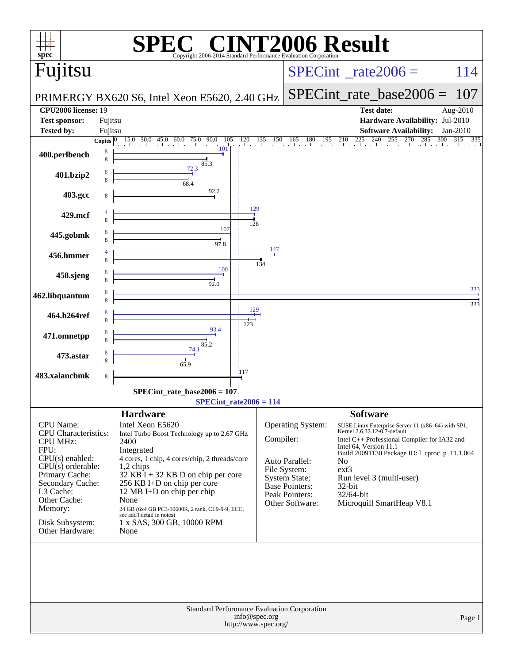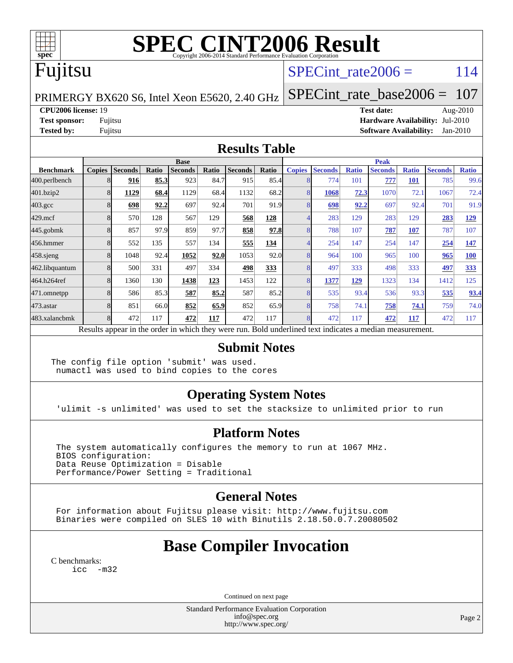

# **[SPEC CINT2006 Result](http://www.spec.org/auto/cpu2006/Docs/result-fields.html#SPECCINT2006Result)**

## Fujitsu

### SPECint rate $2006 = 114$

PRIMERGY BX620 S6, Intel Xeon E5620, 2.40 GHz

[SPECint\\_rate\\_base2006 =](http://www.spec.org/auto/cpu2006/Docs/result-fields.html#SPECintratebase2006) 107

**[CPU2006 license:](http://www.spec.org/auto/cpu2006/Docs/result-fields.html#CPU2006license)** 19 **[Test date:](http://www.spec.org/auto/cpu2006/Docs/result-fields.html#Testdate)** Aug-2010

**[Test sponsor:](http://www.spec.org/auto/cpu2006/Docs/result-fields.html#Testsponsor)** Fujitsu **[Hardware Availability:](http://www.spec.org/auto/cpu2006/Docs/result-fields.html#HardwareAvailability)** Jul-2010 **[Tested by:](http://www.spec.org/auto/cpu2006/Docs/result-fields.html#Testedby)** Fujitsu **[Software Availability:](http://www.spec.org/auto/cpu2006/Docs/result-fields.html#SoftwareAvailability)** Jan-2010

#### **[Results Table](http://www.spec.org/auto/cpu2006/Docs/result-fields.html#ResultsTable)**

|                    | <b>Base</b>                                                                                              |                |       |                |       |                |       |               | <b>Peak</b>    |              |                |              |                |              |  |
|--------------------|----------------------------------------------------------------------------------------------------------|----------------|-------|----------------|-------|----------------|-------|---------------|----------------|--------------|----------------|--------------|----------------|--------------|--|
| <b>Benchmark</b>   | <b>Copies</b>                                                                                            | <b>Seconds</b> | Ratio | <b>Seconds</b> | Ratio | <b>Seconds</b> | Ratio | <b>Copies</b> | <b>Seconds</b> | <b>Ratio</b> | <b>Seconds</b> | <b>Ratio</b> | <b>Seconds</b> | <b>Ratio</b> |  |
| 400.perlbench      |                                                                                                          | 916            | 85.3  | 923            | 84.7  | 915            | 85.4  |               | 774            | 101          | 777            | <b>101</b>   | 785            | 99.6         |  |
| 401.bzip2          |                                                                                                          | 1129           | 68.4  | 1129           | 68.4  | 1132           | 68.2  |               | 1068           | 72.3         | 1070           | 72.1         | 1067           | 72.4         |  |
| $403.\mathrm{gcc}$ |                                                                                                          | 698            | 92.2  | 697            | 92.4  | 701            | 91.9  |               | 698            | 92.2         | 697            | 92.4         | 701            | 91.9         |  |
| $429$ .mcf         |                                                                                                          | 570            | 128   | 567            | 129   | 568            | 128   |               | 283            | 129          | 283            | 129          | 283            | <u>129</u>   |  |
| $445$ .gobmk       |                                                                                                          | 857            | 97.9  | 859            | 97.7  | 858            | 97.8  |               | 788            | 107          | 787            | 107          | 787            | 107          |  |
| 456.hmmer          |                                                                                                          | 552            | 135   | 557            | 134   | 555            | 134   |               | 254            | 147          | 254            | 147          | 254            | 147          |  |
| $458$ .sjeng       |                                                                                                          | 1048           | 92.4  | 1052           | 92.0  | 1053           | 92.0  |               | 964            | 100          | 965            | 100          | 965            | 100          |  |
| 462.libquantum     |                                                                                                          | 500            | 331   | 497            | 334   | 498            | 333   |               | 497            | 333          | 498            | 333          | 497            | 333          |  |
| 464.h264ref        |                                                                                                          | 1360           | 130   | 1438           | 123   | 1453           | 122   |               | 1377           | 129          | 1323           | 134          | 1412           | 125          |  |
| 471.omnetpp        |                                                                                                          | 586            | 85.3  | 587            | 85.2  | 587            | 85.2  |               | 535            | 93.4         | 536            | 93.3         | 535            | 93.4         |  |
| $473$ . astar      |                                                                                                          | 851            | 66.0  | 852            | 65.9  | 852            | 65.9  |               | 758            | 74.1         | 758            | 74.1         | 759            | 74.0         |  |
| 483.xalancbmk      |                                                                                                          | 472            | 117   | 472            | 117   | 472            | 117   |               | 472            | 117          | 472            | 117          | 472            | 117          |  |
|                    | Results appear in the order in which they were run. Bold underlined text indicates a median measurement. |                |       |                |       |                |       |               |                |              |                |              |                |              |  |

#### **[Submit Notes](http://www.spec.org/auto/cpu2006/Docs/result-fields.html#SubmitNotes)**

The config file option 'submit' was used. numactl was used to bind copies to the cores

### **[Operating System Notes](http://www.spec.org/auto/cpu2006/Docs/result-fields.html#OperatingSystemNotes)**

'ulimit -s unlimited' was used to set the stacksize to unlimited prior to run

#### **[Platform Notes](http://www.spec.org/auto/cpu2006/Docs/result-fields.html#PlatformNotes)**

 The system automatically configures the memory to run at 1067 MHz. BIOS configuration: Data Reuse Optimization = Disable Performance/Power Setting = Traditional

### **[General Notes](http://www.spec.org/auto/cpu2006/Docs/result-fields.html#GeneralNotes)**

 For information about Fujitsu please visit: <http://www.fujitsu.com> Binaries were compiled on SLES 10 with Binutils 2.18.50.0.7.20080502

## **[Base Compiler Invocation](http://www.spec.org/auto/cpu2006/Docs/result-fields.html#BaseCompilerInvocation)**

[C benchmarks](http://www.spec.org/auto/cpu2006/Docs/result-fields.html#Cbenchmarks): [icc -m32](http://www.spec.org/cpu2006/results/res2010q3/cpu2006-20100913-13199.flags.html#user_CCbase_intel_icc_32bit_5ff4a39e364c98233615fdd38438c6f2)

Continued on next page

Standard Performance Evaluation Corporation [info@spec.org](mailto:info@spec.org) <http://www.spec.org/>

Page 2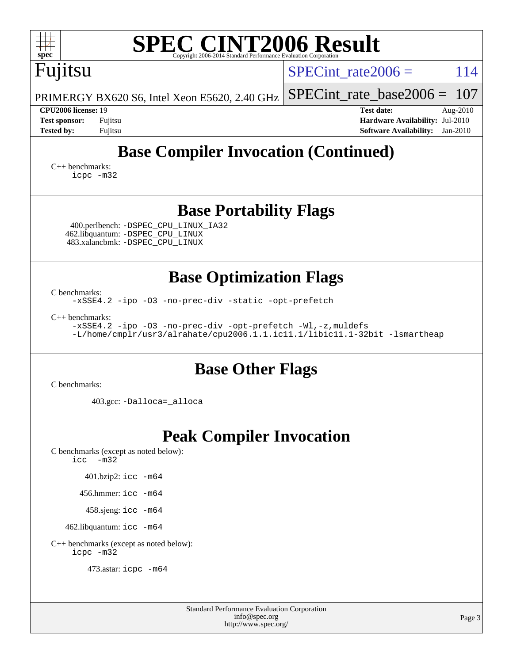| <b>SPEC CINT2006 Result</b><br>spec <sup>®</sup><br>Copyright 2006-2014 Standard Performance Evaluation Corporation                                                |                                                                                                                 |  |  |  |  |  |  |  |
|--------------------------------------------------------------------------------------------------------------------------------------------------------------------|-----------------------------------------------------------------------------------------------------------------|--|--|--|--|--|--|--|
| Fujitsu                                                                                                                                                            | 114<br>$SPECint rate 2006 =$                                                                                    |  |  |  |  |  |  |  |
| PRIMERGY BX620 S6, Intel Xeon E5620, 2.40 GHz                                                                                                                      | $SPECint_rate_base2006 =$<br>107                                                                                |  |  |  |  |  |  |  |
| <b>CPU2006 license: 19</b><br><b>Test sponsor:</b><br>Fujitsu<br><b>Tested by:</b><br>Fujitsu                                                                      | <b>Test date:</b><br>Aug-2010<br>Hardware Availability: Jul-2010<br><b>Software Availability:</b><br>$Jan-2010$ |  |  |  |  |  |  |  |
| <b>Base Compiler Invocation (Continued)</b><br>$C_{++}$ benchmarks:<br>icpc -m32                                                                                   |                                                                                                                 |  |  |  |  |  |  |  |
| <b>Base Portability Flags</b>                                                                                                                                      |                                                                                                                 |  |  |  |  |  |  |  |
| 400.perlbench: -DSPEC_CPU_LINUX_IA32<br>462.libquantum: -DSPEC_CPU_LINUX<br>483.xalancbmk: - DSPEC CPU LINUX                                                       |                                                                                                                 |  |  |  |  |  |  |  |
| <b>Base Optimization Flags</b><br>C benchmarks:                                                                                                                    |                                                                                                                 |  |  |  |  |  |  |  |
| -xSSE4.2 -ipo -03 -no-prec-div -static -opt-prefetch                                                                                                               |                                                                                                                 |  |  |  |  |  |  |  |
| $C_{++}$ benchmarks:<br>-xSSE4.2 -ipo -03 -no-prec-div -opt-prefetch -Wl,-z, muldefs<br>-L/home/cmplr/usr3/alrahate/cpu2006.1.1.ic11.1/libic11.1-32bit -lsmartheap |                                                                                                                 |  |  |  |  |  |  |  |
| <b>Base Other Flags</b>                                                                                                                                            |                                                                                                                 |  |  |  |  |  |  |  |
| C benchmarks:                                                                                                                                                      |                                                                                                                 |  |  |  |  |  |  |  |
| 403.gcc: -Dalloca=_alloca                                                                                                                                          |                                                                                                                 |  |  |  |  |  |  |  |
| <b>Peak Compiler Invocation</b><br>C benchmarks (except as noted below):<br>$\text{icc}$ -m32                                                                      |                                                                                                                 |  |  |  |  |  |  |  |
| 401.bzip2: icc -m64                                                                                                                                                |                                                                                                                 |  |  |  |  |  |  |  |
| 456.hmmer: icc -m64                                                                                                                                                |                                                                                                                 |  |  |  |  |  |  |  |
| 458.sjeng: icc -m64                                                                                                                                                |                                                                                                                 |  |  |  |  |  |  |  |
| 462.libquantum: icc -m64                                                                                                                                           |                                                                                                                 |  |  |  |  |  |  |  |
| C++ benchmarks (except as noted below):<br>icpc -m32                                                                                                               |                                                                                                                 |  |  |  |  |  |  |  |
| 473.astar: icpc -m64                                                                                                                                               |                                                                                                                 |  |  |  |  |  |  |  |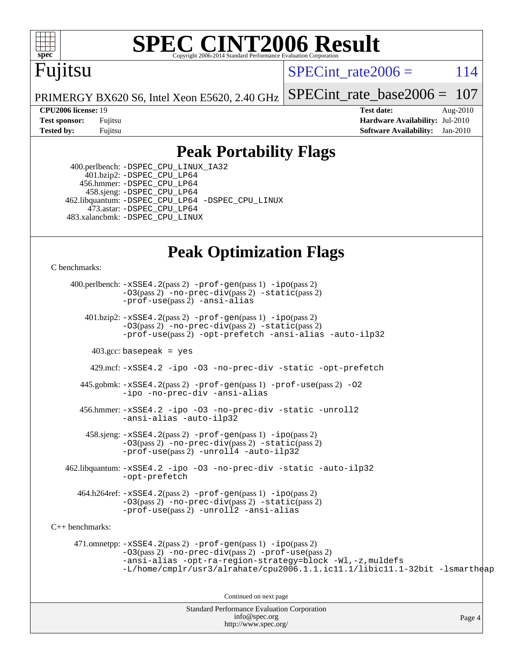

# **[SPEC CINT2006 Result](http://www.spec.org/auto/cpu2006/Docs/result-fields.html#SPECCINT2006Result)**

## Fujitsu

SPECint rate $2006 = 114$ 

[SPECint\\_rate\\_base2006 =](http://www.spec.org/auto/cpu2006/Docs/result-fields.html#SPECintratebase2006) 107

PRIMERGY BX620 S6, Intel Xeon E5620, 2.40 GHz

**[CPU2006 license:](http://www.spec.org/auto/cpu2006/Docs/result-fields.html#CPU2006license)** 19 **[Test date:](http://www.spec.org/auto/cpu2006/Docs/result-fields.html#Testdate)** Aug-2010 **[Test sponsor:](http://www.spec.org/auto/cpu2006/Docs/result-fields.html#Testsponsor)** Fujitsu **[Hardware Availability:](http://www.spec.org/auto/cpu2006/Docs/result-fields.html#HardwareAvailability)** Jul-2010 **[Tested by:](http://www.spec.org/auto/cpu2006/Docs/result-fields.html#Testedby)** Fujitsu **[Software Availability:](http://www.spec.org/auto/cpu2006/Docs/result-fields.html#SoftwareAvailability)** Jan-2010

### **[Peak Portability Flags](http://www.spec.org/auto/cpu2006/Docs/result-fields.html#PeakPortabilityFlags)**

 400.perlbench: [-DSPEC\\_CPU\\_LINUX\\_IA32](http://www.spec.org/cpu2006/results/res2010q3/cpu2006-20100913-13199.flags.html#b400.perlbench_peakCPORTABILITY_DSPEC_CPU_LINUX_IA32) 401.bzip2: [-DSPEC\\_CPU\\_LP64](http://www.spec.org/cpu2006/results/res2010q3/cpu2006-20100913-13199.flags.html#suite_peakCPORTABILITY401_bzip2_DSPEC_CPU_LP64) 456.hmmer: [-DSPEC\\_CPU\\_LP64](http://www.spec.org/cpu2006/results/res2010q3/cpu2006-20100913-13199.flags.html#suite_peakCPORTABILITY456_hmmer_DSPEC_CPU_LP64) 458.sjeng: [-DSPEC\\_CPU\\_LP64](http://www.spec.org/cpu2006/results/res2010q3/cpu2006-20100913-13199.flags.html#suite_peakCPORTABILITY458_sjeng_DSPEC_CPU_LP64) 462.libquantum: [-DSPEC\\_CPU\\_LP64](http://www.spec.org/cpu2006/results/res2010q3/cpu2006-20100913-13199.flags.html#suite_peakCPORTABILITY462_libquantum_DSPEC_CPU_LP64) [-DSPEC\\_CPU\\_LINUX](http://www.spec.org/cpu2006/results/res2010q3/cpu2006-20100913-13199.flags.html#b462.libquantum_peakCPORTABILITY_DSPEC_CPU_LINUX) 473.astar: [-DSPEC\\_CPU\\_LP64](http://www.spec.org/cpu2006/results/res2010q3/cpu2006-20100913-13199.flags.html#suite_peakCXXPORTABILITY473_astar_DSPEC_CPU_LP64) 483.xalancbmk: [-DSPEC\\_CPU\\_LINUX](http://www.spec.org/cpu2006/results/res2010q3/cpu2006-20100913-13199.flags.html#b483.xalancbmk_peakCXXPORTABILITY_DSPEC_CPU_LINUX)

## **[Peak Optimization Flags](http://www.spec.org/auto/cpu2006/Docs/result-fields.html#PeakOptimizationFlags)**

[C benchmarks](http://www.spec.org/auto/cpu2006/Docs/result-fields.html#Cbenchmarks):

 400.perlbench: [-xSSE4.2](http://www.spec.org/cpu2006/results/res2010q3/cpu2006-20100913-13199.flags.html#user_peakPASS2_CFLAGSPASS2_LDCFLAGS400_perlbench_f-xSSE42_f91528193cf0b216347adb8b939d4107)(pass 2) [-prof-gen](http://www.spec.org/cpu2006/results/res2010q3/cpu2006-20100913-13199.flags.html#user_peakPASS1_CFLAGSPASS1_LDCFLAGS400_perlbench_prof_gen_e43856698f6ca7b7e442dfd80e94a8fc)(pass 1) [-ipo](http://www.spec.org/cpu2006/results/res2010q3/cpu2006-20100913-13199.flags.html#user_peakPASS2_CFLAGSPASS2_LDCFLAGS400_perlbench_f-ipo)(pass 2) [-O3](http://www.spec.org/cpu2006/results/res2010q3/cpu2006-20100913-13199.flags.html#user_peakPASS2_CFLAGSPASS2_LDCFLAGS400_perlbench_f-O3)(pass 2) [-no-prec-div](http://www.spec.org/cpu2006/results/res2010q3/cpu2006-20100913-13199.flags.html#user_peakPASS2_CFLAGSPASS2_LDCFLAGS400_perlbench_f-no-prec-div)(pass 2) [-static](http://www.spec.org/cpu2006/results/res2010q3/cpu2006-20100913-13199.flags.html#user_peakPASS2_CFLAGSPASS2_LDCFLAGS400_perlbench_f-static)(pass 2) [-prof-use](http://www.spec.org/cpu2006/results/res2010q3/cpu2006-20100913-13199.flags.html#user_peakPASS2_CFLAGSPASS2_LDCFLAGS400_perlbench_prof_use_bccf7792157ff70d64e32fe3e1250b55)(pass 2) [-ansi-alias](http://www.spec.org/cpu2006/results/res2010q3/cpu2006-20100913-13199.flags.html#user_peakCOPTIMIZE400_perlbench_f-ansi-alias) 401.bzip2: [-xSSE4.2](http://www.spec.org/cpu2006/results/res2010q3/cpu2006-20100913-13199.flags.html#user_peakPASS2_CFLAGSPASS2_LDCFLAGS401_bzip2_f-xSSE42_f91528193cf0b216347adb8b939d4107)(pass 2) [-prof-gen](http://www.spec.org/cpu2006/results/res2010q3/cpu2006-20100913-13199.flags.html#user_peakPASS1_CFLAGSPASS1_LDCFLAGS401_bzip2_prof_gen_e43856698f6ca7b7e442dfd80e94a8fc)(pass 1) [-ipo](http://www.spec.org/cpu2006/results/res2010q3/cpu2006-20100913-13199.flags.html#user_peakPASS2_CFLAGSPASS2_LDCFLAGS401_bzip2_f-ipo)(pass 2) [-O3](http://www.spec.org/cpu2006/results/res2010q3/cpu2006-20100913-13199.flags.html#user_peakPASS2_CFLAGSPASS2_LDCFLAGS401_bzip2_f-O3)(pass 2) [-no-prec-div](http://www.spec.org/cpu2006/results/res2010q3/cpu2006-20100913-13199.flags.html#user_peakPASS2_CFLAGSPASS2_LDCFLAGS401_bzip2_f-no-prec-div)(pass 2) [-static](http://www.spec.org/cpu2006/results/res2010q3/cpu2006-20100913-13199.flags.html#user_peakPASS2_CFLAGSPASS2_LDCFLAGS401_bzip2_f-static)(pass 2) [-prof-use](http://www.spec.org/cpu2006/results/res2010q3/cpu2006-20100913-13199.flags.html#user_peakPASS2_CFLAGSPASS2_LDCFLAGS401_bzip2_prof_use_bccf7792157ff70d64e32fe3e1250b55)(pass 2) [-opt-prefetch](http://www.spec.org/cpu2006/results/res2010q3/cpu2006-20100913-13199.flags.html#user_peakCOPTIMIZE401_bzip2_f-opt-prefetch) [-ansi-alias](http://www.spec.org/cpu2006/results/res2010q3/cpu2006-20100913-13199.flags.html#user_peakCOPTIMIZE401_bzip2_f-ansi-alias) [-auto-ilp32](http://www.spec.org/cpu2006/results/res2010q3/cpu2006-20100913-13199.flags.html#user_peakCOPTIMIZE401_bzip2_f-auto-ilp32)  $403.\text{gcc: basepeak}$  = yes 429.mcf: [-xSSE4.2](http://www.spec.org/cpu2006/results/res2010q3/cpu2006-20100913-13199.flags.html#user_peakCOPTIMIZE429_mcf_f-xSSE42_f91528193cf0b216347adb8b939d4107) [-ipo](http://www.spec.org/cpu2006/results/res2010q3/cpu2006-20100913-13199.flags.html#user_peakCOPTIMIZE429_mcf_f-ipo) [-O3](http://www.spec.org/cpu2006/results/res2010q3/cpu2006-20100913-13199.flags.html#user_peakCOPTIMIZE429_mcf_f-O3) [-no-prec-div](http://www.spec.org/cpu2006/results/res2010q3/cpu2006-20100913-13199.flags.html#user_peakCOPTIMIZE429_mcf_f-no-prec-div) [-static](http://www.spec.org/cpu2006/results/res2010q3/cpu2006-20100913-13199.flags.html#user_peakCOPTIMIZE429_mcf_f-static) [-opt-prefetch](http://www.spec.org/cpu2006/results/res2010q3/cpu2006-20100913-13199.flags.html#user_peakCOPTIMIZE429_mcf_f-opt-prefetch) 445.gobmk: [-xSSE4.2](http://www.spec.org/cpu2006/results/res2010q3/cpu2006-20100913-13199.flags.html#user_peakPASS2_CFLAGSPASS2_LDCFLAGS445_gobmk_f-xSSE42_f91528193cf0b216347adb8b939d4107)(pass 2) [-prof-gen](http://www.spec.org/cpu2006/results/res2010q3/cpu2006-20100913-13199.flags.html#user_peakPASS1_CFLAGSPASS1_LDCFLAGS445_gobmk_prof_gen_e43856698f6ca7b7e442dfd80e94a8fc)(pass 1) [-prof-use](http://www.spec.org/cpu2006/results/res2010q3/cpu2006-20100913-13199.flags.html#user_peakPASS2_CFLAGSPASS2_LDCFLAGS445_gobmk_prof_use_bccf7792157ff70d64e32fe3e1250b55)(pass 2) [-O2](http://www.spec.org/cpu2006/results/res2010q3/cpu2006-20100913-13199.flags.html#user_peakCOPTIMIZE445_gobmk_f-O2) [-ipo](http://www.spec.org/cpu2006/results/res2010q3/cpu2006-20100913-13199.flags.html#user_peakCOPTIMIZE445_gobmk_f-ipo) [-no-prec-div](http://www.spec.org/cpu2006/results/res2010q3/cpu2006-20100913-13199.flags.html#user_peakCOPTIMIZE445_gobmk_f-no-prec-div) [-ansi-alias](http://www.spec.org/cpu2006/results/res2010q3/cpu2006-20100913-13199.flags.html#user_peakCOPTIMIZE445_gobmk_f-ansi-alias) 456.hmmer: [-xSSE4.2](http://www.spec.org/cpu2006/results/res2010q3/cpu2006-20100913-13199.flags.html#user_peakCOPTIMIZE456_hmmer_f-xSSE42_f91528193cf0b216347adb8b939d4107) [-ipo](http://www.spec.org/cpu2006/results/res2010q3/cpu2006-20100913-13199.flags.html#user_peakCOPTIMIZE456_hmmer_f-ipo) [-O3](http://www.spec.org/cpu2006/results/res2010q3/cpu2006-20100913-13199.flags.html#user_peakCOPTIMIZE456_hmmer_f-O3) [-no-prec-div](http://www.spec.org/cpu2006/results/res2010q3/cpu2006-20100913-13199.flags.html#user_peakCOPTIMIZE456_hmmer_f-no-prec-div) [-static](http://www.spec.org/cpu2006/results/res2010q3/cpu2006-20100913-13199.flags.html#user_peakCOPTIMIZE456_hmmer_f-static) [-unroll2](http://www.spec.org/cpu2006/results/res2010q3/cpu2006-20100913-13199.flags.html#user_peakCOPTIMIZE456_hmmer_f-unroll_784dae83bebfb236979b41d2422d7ec2) [-ansi-alias](http://www.spec.org/cpu2006/results/res2010q3/cpu2006-20100913-13199.flags.html#user_peakCOPTIMIZE456_hmmer_f-ansi-alias) [-auto-ilp32](http://www.spec.org/cpu2006/results/res2010q3/cpu2006-20100913-13199.flags.html#user_peakCOPTIMIZE456_hmmer_f-auto-ilp32)  $458 \text{.}$  sjeng:  $-xSSE4$ .  $2(\text{pass 2})$  -prof-qen(pass 1) [-ipo](http://www.spec.org/cpu2006/results/res2010q3/cpu2006-20100913-13199.flags.html#user_peakPASS2_CFLAGSPASS2_LDCFLAGS458_sjeng_f-ipo)(pass 2) [-O3](http://www.spec.org/cpu2006/results/res2010q3/cpu2006-20100913-13199.flags.html#user_peakPASS2_CFLAGSPASS2_LDCFLAGS458_sjeng_f-O3)(pass 2) [-no-prec-div](http://www.spec.org/cpu2006/results/res2010q3/cpu2006-20100913-13199.flags.html#user_peakPASS2_CFLAGSPASS2_LDCFLAGS458_sjeng_f-no-prec-div)(pass 2) [-static](http://www.spec.org/cpu2006/results/res2010q3/cpu2006-20100913-13199.flags.html#user_peakPASS2_CFLAGSPASS2_LDCFLAGS458_sjeng_f-static)(pass 2) [-prof-use](http://www.spec.org/cpu2006/results/res2010q3/cpu2006-20100913-13199.flags.html#user_peakPASS2_CFLAGSPASS2_LDCFLAGS458_sjeng_prof_use_bccf7792157ff70d64e32fe3e1250b55)(pass 2) [-unroll4](http://www.spec.org/cpu2006/results/res2010q3/cpu2006-20100913-13199.flags.html#user_peakCOPTIMIZE458_sjeng_f-unroll_4e5e4ed65b7fd20bdcd365bec371b81f) [-auto-ilp32](http://www.spec.org/cpu2006/results/res2010q3/cpu2006-20100913-13199.flags.html#user_peakCOPTIMIZE458_sjeng_f-auto-ilp32) 462.libquantum: [-xSSE4.2](http://www.spec.org/cpu2006/results/res2010q3/cpu2006-20100913-13199.flags.html#user_peakCOPTIMIZE462_libquantum_f-xSSE42_f91528193cf0b216347adb8b939d4107) [-ipo](http://www.spec.org/cpu2006/results/res2010q3/cpu2006-20100913-13199.flags.html#user_peakCOPTIMIZE462_libquantum_f-ipo) [-O3](http://www.spec.org/cpu2006/results/res2010q3/cpu2006-20100913-13199.flags.html#user_peakCOPTIMIZE462_libquantum_f-O3) [-no-prec-div](http://www.spec.org/cpu2006/results/res2010q3/cpu2006-20100913-13199.flags.html#user_peakCOPTIMIZE462_libquantum_f-no-prec-div) [-static](http://www.spec.org/cpu2006/results/res2010q3/cpu2006-20100913-13199.flags.html#user_peakCOPTIMIZE462_libquantum_f-static) [-auto-ilp32](http://www.spec.org/cpu2006/results/res2010q3/cpu2006-20100913-13199.flags.html#user_peakCOPTIMIZE462_libquantum_f-auto-ilp32) [-opt-prefetch](http://www.spec.org/cpu2006/results/res2010q3/cpu2006-20100913-13199.flags.html#user_peakCOPTIMIZE462_libquantum_f-opt-prefetch) 464.h264ref: [-xSSE4.2](http://www.spec.org/cpu2006/results/res2010q3/cpu2006-20100913-13199.flags.html#user_peakPASS2_CFLAGSPASS2_LDCFLAGS464_h264ref_f-xSSE42_f91528193cf0b216347adb8b939d4107)(pass 2) [-prof-gen](http://www.spec.org/cpu2006/results/res2010q3/cpu2006-20100913-13199.flags.html#user_peakPASS1_CFLAGSPASS1_LDCFLAGS464_h264ref_prof_gen_e43856698f6ca7b7e442dfd80e94a8fc)(pass 1) [-ipo](http://www.spec.org/cpu2006/results/res2010q3/cpu2006-20100913-13199.flags.html#user_peakPASS2_CFLAGSPASS2_LDCFLAGS464_h264ref_f-ipo)(pass 2) [-O3](http://www.spec.org/cpu2006/results/res2010q3/cpu2006-20100913-13199.flags.html#user_peakPASS2_CFLAGSPASS2_LDCFLAGS464_h264ref_f-O3)(pass 2) [-no-prec-div](http://www.spec.org/cpu2006/results/res2010q3/cpu2006-20100913-13199.flags.html#user_peakPASS2_CFLAGSPASS2_LDCFLAGS464_h264ref_f-no-prec-div)(pass 2) [-static](http://www.spec.org/cpu2006/results/res2010q3/cpu2006-20100913-13199.flags.html#user_peakPASS2_CFLAGSPASS2_LDCFLAGS464_h264ref_f-static)(pass 2) [-prof-use](http://www.spec.org/cpu2006/results/res2010q3/cpu2006-20100913-13199.flags.html#user_peakPASS2_CFLAGSPASS2_LDCFLAGS464_h264ref_prof_use_bccf7792157ff70d64e32fe3e1250b55)(pass 2) [-unroll2](http://www.spec.org/cpu2006/results/res2010q3/cpu2006-20100913-13199.flags.html#user_peakCOPTIMIZE464_h264ref_f-unroll_784dae83bebfb236979b41d2422d7ec2) [-ansi-alias](http://www.spec.org/cpu2006/results/res2010q3/cpu2006-20100913-13199.flags.html#user_peakCOPTIMIZE464_h264ref_f-ansi-alias) [C++ benchmarks:](http://www.spec.org/auto/cpu2006/Docs/result-fields.html#CXXbenchmarks) 471.omnetpp: [-xSSE4.2](http://www.spec.org/cpu2006/results/res2010q3/cpu2006-20100913-13199.flags.html#user_peakPASS2_CXXFLAGSPASS2_LDCXXFLAGS471_omnetpp_f-xSSE42_f91528193cf0b216347adb8b939d4107)(pass 2) [-prof-gen](http://www.spec.org/cpu2006/results/res2010q3/cpu2006-20100913-13199.flags.html#user_peakPASS1_CXXFLAGSPASS1_LDCXXFLAGS471_omnetpp_prof_gen_e43856698f6ca7b7e442dfd80e94a8fc)(pass 1) [-ipo](http://www.spec.org/cpu2006/results/res2010q3/cpu2006-20100913-13199.flags.html#user_peakPASS2_CXXFLAGSPASS2_LDCXXFLAGS471_omnetpp_f-ipo)(pass 2) [-O3](http://www.spec.org/cpu2006/results/res2010q3/cpu2006-20100913-13199.flags.html#user_peakPASS2_CXXFLAGSPASS2_LDCXXFLAGS471_omnetpp_f-O3)(pass 2) [-no-prec-div](http://www.spec.org/cpu2006/results/res2010q3/cpu2006-20100913-13199.flags.html#user_peakPASS2_CXXFLAGSPASS2_LDCXXFLAGS471_omnetpp_f-no-prec-div)(pass 2) [-prof-use](http://www.spec.org/cpu2006/results/res2010q3/cpu2006-20100913-13199.flags.html#user_peakPASS2_CXXFLAGSPASS2_LDCXXFLAGS471_omnetpp_prof_use_bccf7792157ff70d64e32fe3e1250b55)(pass 2) [-ansi-alias](http://www.spec.org/cpu2006/results/res2010q3/cpu2006-20100913-13199.flags.html#user_peakCXXOPTIMIZE471_omnetpp_f-ansi-alias) [-opt-ra-region-strategy=block](http://www.spec.org/cpu2006/results/res2010q3/cpu2006-20100913-13199.flags.html#user_peakCXXOPTIMIZE471_omnetpp_f-opt-ra-region-strategy-block_a0a37c372d03933b2a18d4af463c1f69) [-Wl,-z,muldefs](http://www.spec.org/cpu2006/results/res2010q3/cpu2006-20100913-13199.flags.html#user_peakEXTRA_LDFLAGS471_omnetpp_link_force_multiple1_74079c344b956b9658436fd1b6dd3a8a) [-L/home/cmplr/usr3/alrahate/cpu2006.1.1.ic11.1/libic11.1-32bit -lsmartheap](http://www.spec.org/cpu2006/results/res2010q3/cpu2006-20100913-13199.flags.html#user_peakEXTRA_LIBS471_omnetpp_SmartHeap_d86dffe4a79b79ef8890d5cce17030c3) Continued on next page

Standard Performance Evaluation Corporation [info@spec.org](mailto:info@spec.org) <http://www.spec.org/>